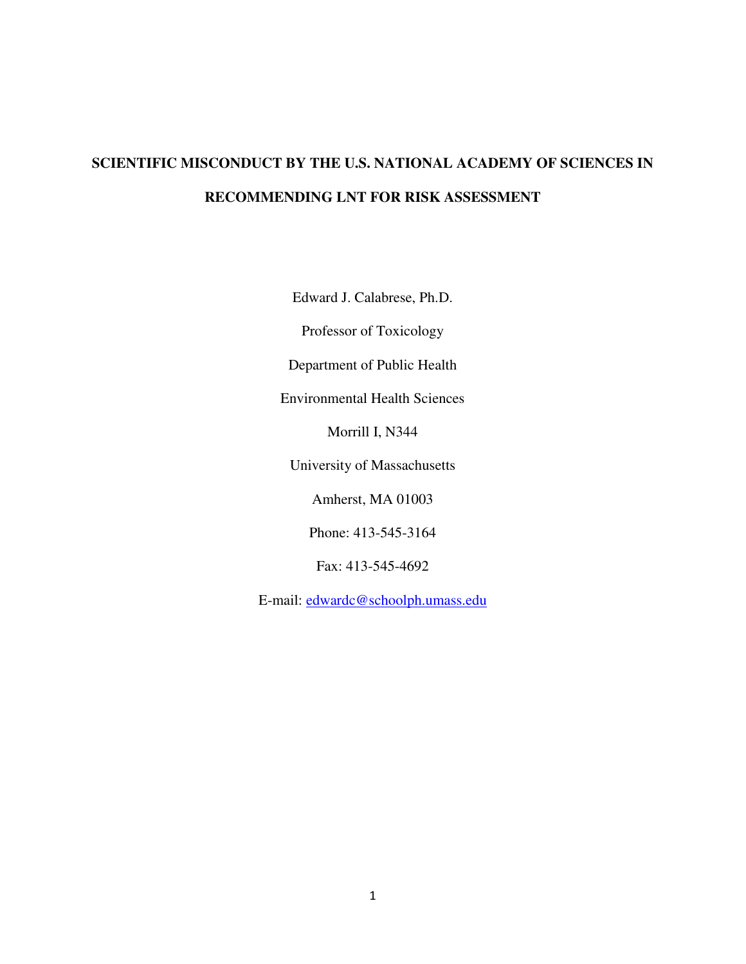# **SCIENTIFIC MISCONDUCT BY THE U.S. NATIONAL ACADEMY OF SCIENCES IN RECOMMENDING LNT FOR RISK ASSESSMENT**

Edward J. Calabrese, Ph.D.

Professor of Toxicology

Department of Public Health

Environmental Health Sciences

Morrill I, N344

University of Massachusetts

Amherst, MA 01003

Phone: 413-545-3164

Fax: 413-545-4692

E-mail: [edwardc@schoolph.umass.edu](mailto:edwardc@schoolph.umass.edu)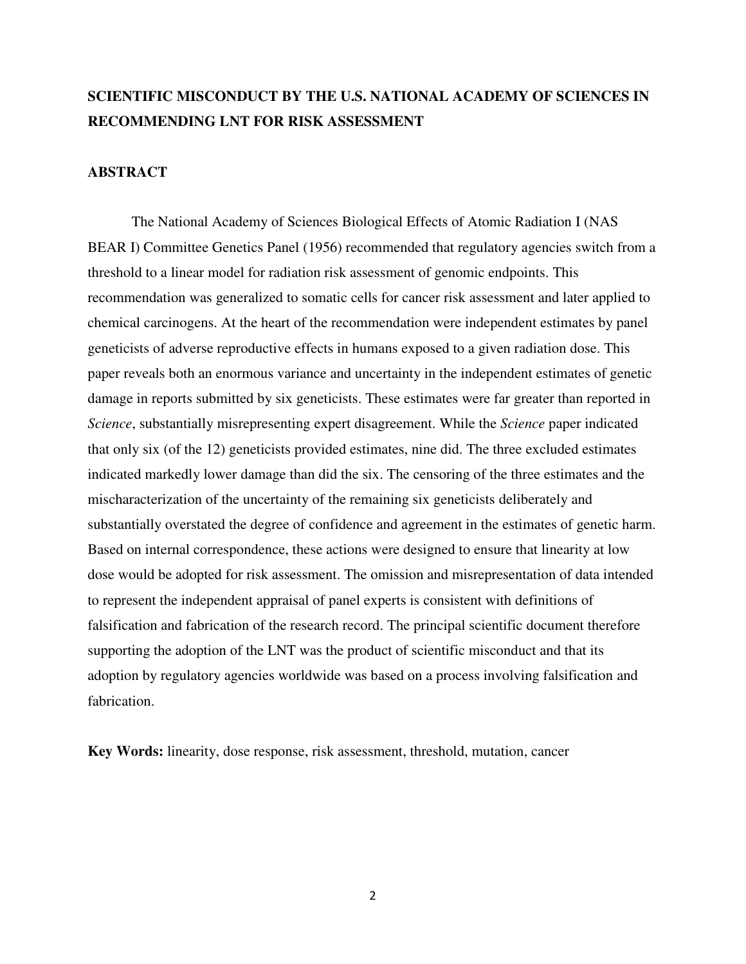# **SCIENTIFIC MISCONDUCT BY THE U.S. NATIONAL ACADEMY OF SCIENCES IN RECOMMENDING LNT FOR RISK ASSESSMENT**

# **ABSTRACT**

The National Academy of Sciences Biological Effects of Atomic Radiation I (NAS BEAR I) Committee Genetics Panel (1956) recommended that regulatory agencies switch from a threshold to a linear model for radiation risk assessment of genomic endpoints. This recommendation was generalized to somatic cells for cancer risk assessment and later applied to chemical carcinogens. At the heart of the recommendation were independent estimates by panel geneticists of adverse reproductive effects in humans exposed to a given radiation dose. This paper reveals both an enormous variance and uncertainty in the independent estimates of genetic damage in reports submitted by six geneticists. These estimates were far greater than reported in *Science*, substantially misrepresenting expert disagreement. While the *Science* paper indicated that only six (of the 12) geneticists provided estimates, nine did. The three excluded estimates indicated markedly lower damage than did the six. The censoring of the three estimates and the mischaracterization of the uncertainty of the remaining six geneticists deliberately and substantially overstated the degree of confidence and agreement in the estimates of genetic harm. Based on internal correspondence, these actions were designed to ensure that linearity at low dose would be adopted for risk assessment. The omission and misrepresentation of data intended to represent the independent appraisal of panel experts is consistent with definitions of falsification and fabrication of the research record. The principal scientific document therefore supporting the adoption of the LNT was the product of scientific misconduct and that its adoption by regulatory agencies worldwide was based on a process involving falsification and fabrication.

**Key Words:** linearity, dose response, risk assessment, threshold, mutation, cancer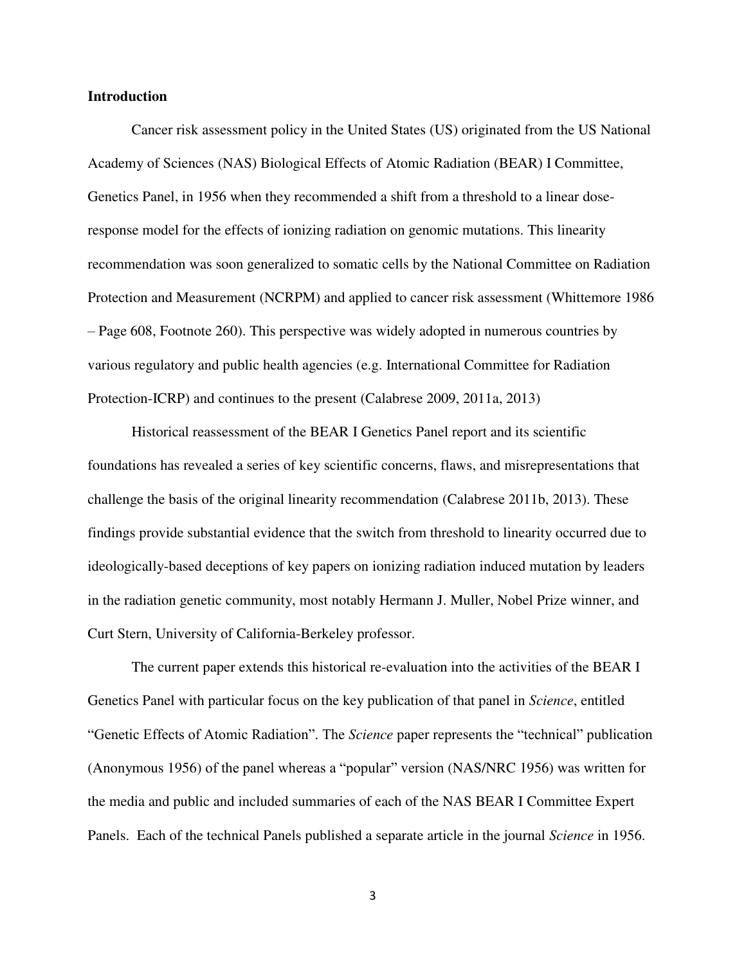# **Introduction**

Cancer risk assessment policy in the United States (US) originated from the US National Academy of Sciences (NAS) Biological Effects of Atomic Radiation (BEAR) I Committee, Genetics Panel, in 1956 when they recommended a shift from a threshold to a linear doseresponse model for the effects of ionizing radiation on genomic mutations. This linearity recommendation was soon generalized to somatic cells by the National Committee on Radiation Protection and Measurement (NCRPM) and applied to cancer risk assessment (Whittemore 1986 – Page 608, Footnote 260). This perspective was widely adopted in numerous countries by various regulatory and public health agencies (e.g. International Committee for Radiation Protection-ICRP) and continues to the present (Calabrese 2009, 2011a, 2013)

 Historical reassessment of the BEAR I Genetics Panel report and its scientific foundations has revealed a series of key scientific concerns, flaws, and misrepresentations that challenge the basis of the original linearity recommendation (Calabrese 2011b, 2013). These findings provide substantial evidence that the switch from threshold to linearity occurred due to ideologically-based deceptions of key papers on ionizing radiation induced mutation by leaders in the radiation genetic community, most notably Hermann J. Muller, Nobel Prize winner, and Curt Stern, University of California-Berkeley professor.

The current paper extends this historical re-evaluation into the activities of the BEAR I Genetics Panel with particular focus on the key publication of that panel in *Science*, entitled "Genetic Effects of Atomic Radiation". The *Science* paper represents the "technical" publication (Anonymous 1956) of the panel whereas a "popular" version (NAS/NRC 1956) was written for the media and public and included summaries of each of the NAS BEAR I Committee Expert Panels. Each of the technical Panels published a separate article in the journal *Science* in 1956.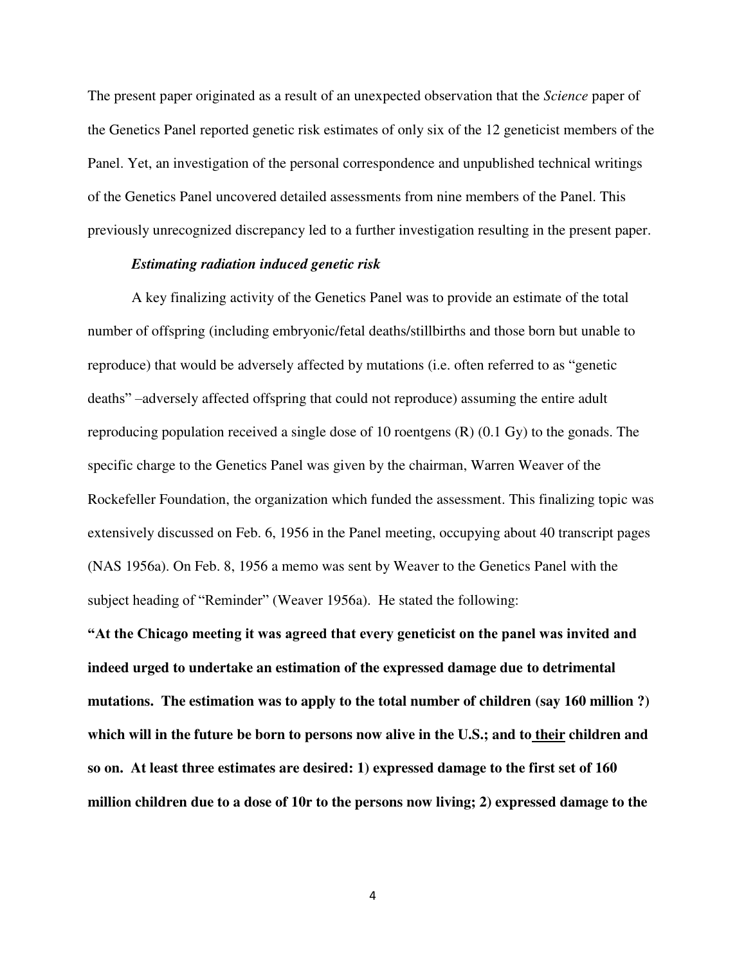The present paper originated as a result of an unexpected observation that the *Science* paper of the Genetics Panel reported genetic risk estimates of only six of the 12 geneticist members of the Panel. Yet, an investigation of the personal correspondence and unpublished technical writings of the Genetics Panel uncovered detailed assessments from nine members of the Panel. This previously unrecognized discrepancy led to a further investigation resulting in the present paper.

# *Estimating radiation induced genetic risk*

A key finalizing activity of the Genetics Panel was to provide an estimate of the total number of offspring (including embryonic/fetal deaths/stillbirths and those born but unable to reproduce) that would be adversely affected by mutations (i.e. often referred to as "genetic deaths" –adversely affected offspring that could not reproduce) assuming the entire adult reproducing population received a single dose of 10 roentgens (R) (0.1 Gy) to the gonads. The specific charge to the Genetics Panel was given by the chairman, Warren Weaver of the Rockefeller Foundation, the organization which funded the assessment. This finalizing topic was extensively discussed on Feb. 6, 1956 in the Panel meeting, occupying about 40 transcript pages (NAS 1956a). On Feb. 8, 1956 a memo was sent by Weaver to the Genetics Panel with the subject heading of "Reminder" (Weaver 1956a). He stated the following:

**"At the Chicago meeting it was agreed that every geneticist on the panel was invited and indeed urged to undertake an estimation of the expressed damage due to detrimental mutations. The estimation was to apply to the total number of children (say 160 million ?)**  which will in the future be born to persons now alive in the U.S.; and to their children and **so on. At least three estimates are desired: 1) expressed damage to the first set of 160 million children due to a dose of 10r to the persons now living; 2) expressed damage to the**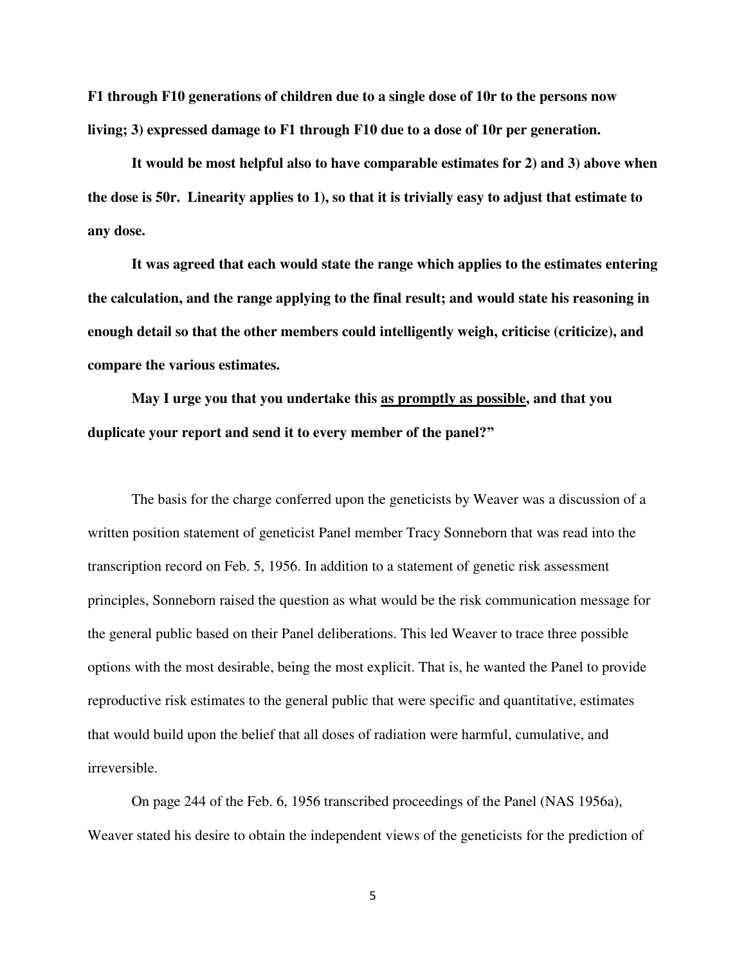**F1 through F10 generations of children due to a single dose of 10r to the persons now living; 3) expressed damage to F1 through F10 due to a dose of 10r per generation.** 

 **It would be most helpful also to have comparable estimates for 2) and 3) above when the dose is 50r. Linearity applies to 1), so that it is trivially easy to adjust that estimate to any dose.** 

 **It was agreed that each would state the range which applies to the estimates entering the calculation, and the range applying to the final result; and would state his reasoning in enough detail so that the other members could intelligently weigh, criticise (criticize), and compare the various estimates.** 

 **May I urge you that you undertake this as promptly as possible, and that you duplicate your report and send it to every member of the panel?"**

The basis for the charge conferred upon the geneticists by Weaver was a discussion of a written position statement of geneticist Panel member Tracy Sonneborn that was read into the transcription record on Feb. 5, 1956. In addition to a statement of genetic risk assessment principles, Sonneborn raised the question as what would be the risk communication message for the general public based on their Panel deliberations. This led Weaver to trace three possible options with the most desirable, being the most explicit. That is, he wanted the Panel to provide reproductive risk estimates to the general public that were specific and quantitative, estimates that would build upon the belief that all doses of radiation were harmful, cumulative, and irreversible.

On page 244 of the Feb. 6, 1956 transcribed proceedings of the Panel (NAS 1956a), Weaver stated his desire to obtain the independent views of the geneticists for the prediction of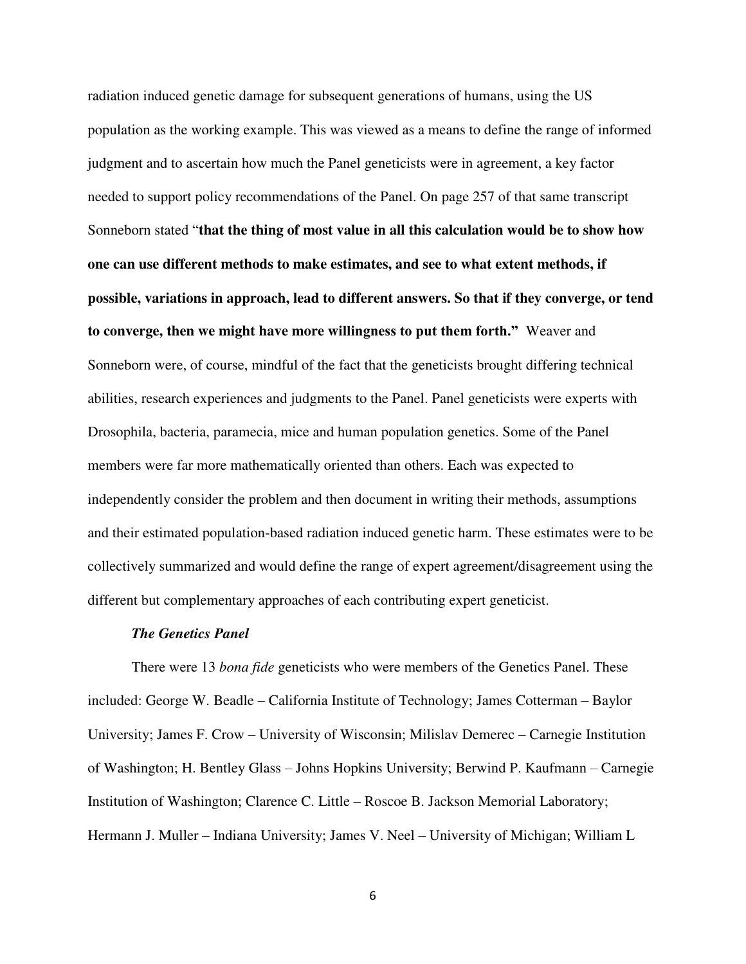radiation induced genetic damage for subsequent generations of humans, using the US population as the working example. This was viewed as a means to define the range of informed judgment and to ascertain how much the Panel geneticists were in agreement, a key factor needed to support policy recommendations of the Panel. On page 257 of that same transcript Sonneborn stated "**that the thing of most value in all this calculation would be to show how one can use different methods to make estimates, and see to what extent methods, if possible, variations in approach, lead to different answers. So that if they converge, or tend to converge, then we might have more willingness to put them forth."** Weaver and Sonneborn were, of course, mindful of the fact that the geneticists brought differing technical abilities, research experiences and judgments to the Panel. Panel geneticists were experts with Drosophila, bacteria, paramecia, mice and human population genetics. Some of the Panel members were far more mathematically oriented than others. Each was expected to independently consider the problem and then document in writing their methods, assumptions and their estimated population-based radiation induced genetic harm. These estimates were to be collectively summarized and would define the range of expert agreement/disagreement using the different but complementary approaches of each contributing expert geneticist.

#### *The Genetics Panel*

There were 13 *bona fide* geneticists who were members of the Genetics Panel. These included: George W. Beadle – California Institute of Technology; James Cotterman – Baylor University; James F. Crow – University of Wisconsin; Milislav Demerec – Carnegie Institution of Washington; H. Bentley Glass – Johns Hopkins University; Berwind P. Kaufmann – Carnegie Institution of Washington; Clarence C. Little – Roscoe B. Jackson Memorial Laboratory; Hermann J. Muller – Indiana University; James V. Neel – University of Michigan; William L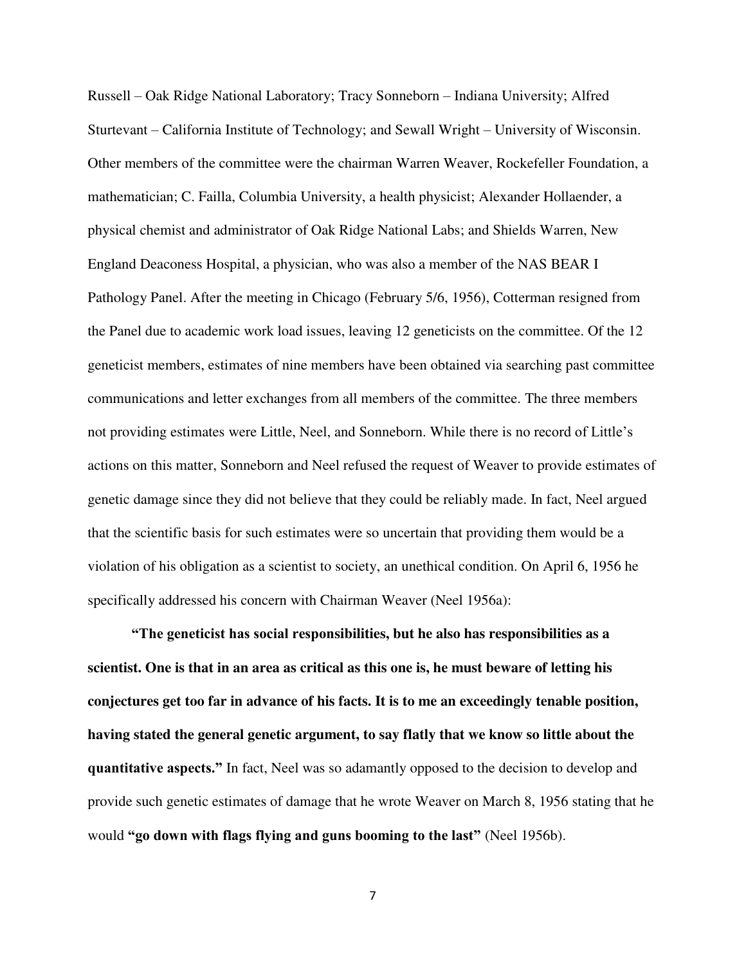Russell – Oak Ridge National Laboratory; Tracy Sonneborn – Indiana University; Alfred Sturtevant – California Institute of Technology; and Sewall Wright – University of Wisconsin. Other members of the committee were the chairman Warren Weaver, Rockefeller Foundation, a mathematician; C. Failla, Columbia University, a health physicist; Alexander Hollaender, a physical chemist and administrator of Oak Ridge National Labs; and Shields Warren, New England Deaconess Hospital, a physician, who was also a member of the NAS BEAR I Pathology Panel. After the meeting in Chicago (February 5/6, 1956), Cotterman resigned from the Panel due to academic work load issues, leaving 12 geneticists on the committee. Of the 12 geneticist members, estimates of nine members have been obtained via searching past committee communications and letter exchanges from all members of the committee. The three members not providing estimates were Little, Neel, and Sonneborn. While there is no record of Little's actions on this matter, Sonneborn and Neel refused the request of Weaver to provide estimates of genetic damage since they did not believe that they could be reliably made. In fact, Neel argued that the scientific basis for such estimates were so uncertain that providing them would be a violation of his obligation as a scientist to society, an unethical condition. On April 6, 1956 he specifically addressed his concern with Chairman Weaver (Neel 1956a):

**"The geneticist has social responsibilities, but he also has responsibilities as a scientist. One is that in an area as critical as this one is, he must beware of letting his conjectures get too far in advance of his facts. It is to me an exceedingly tenable position, having stated the general genetic argument, to say flatly that we know so little about the quantitative aspects."** In fact, Neel was so adamantly opposed to the decision to develop and provide such genetic estimates of damage that he wrote Weaver on March 8, 1956 stating that he would **"go down with flags flying and guns booming to the last"** (Neel 1956b).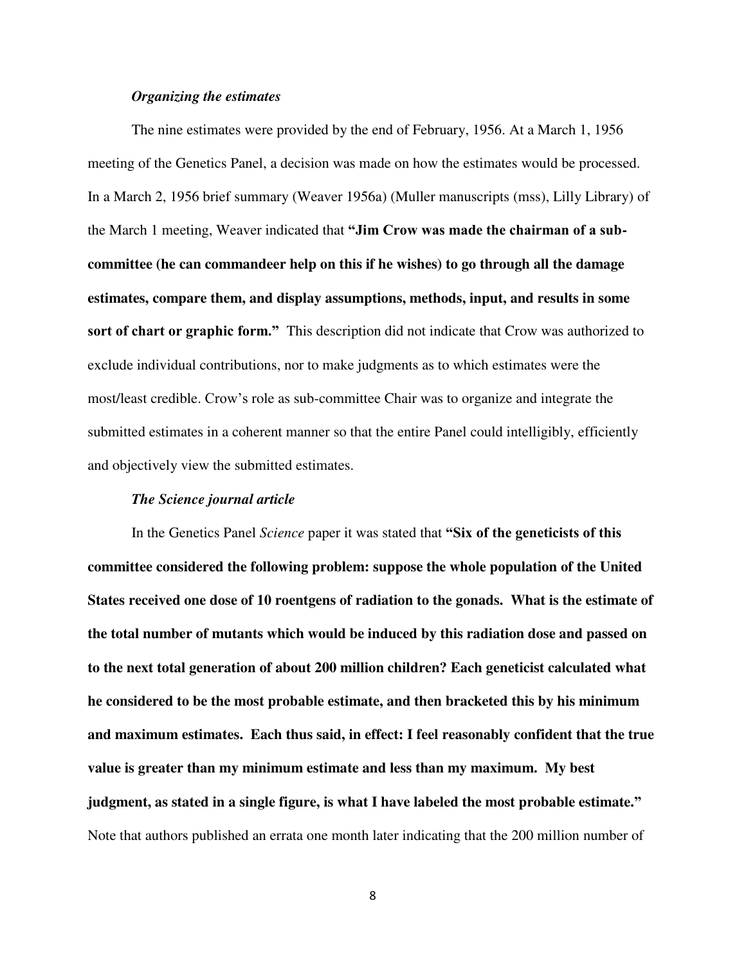# *Organizing the estimates*

The nine estimates were provided by the end of February, 1956. At a March 1, 1956 meeting of the Genetics Panel, a decision was made on how the estimates would be processed. In a March 2, 1956 brief summary (Weaver 1956a) (Muller manuscripts (mss), Lilly Library) of the March 1 meeting, Weaver indicated that **"Jim Crow was made the chairman of a subcommittee (he can commandeer help on this if he wishes) to go through all the damage estimates, compare them, and display assumptions, methods, input, and results in some sort of chart or graphic form."** This description did not indicate that Crow was authorized to exclude individual contributions, nor to make judgments as to which estimates were the most/least credible. Crow's role as sub-committee Chair was to organize and integrate the submitted estimates in a coherent manner so that the entire Panel could intelligibly, efficiently and objectively view the submitted estimates.

## *The Science journal article*

In the Genetics Panel *Science* paper it was stated that **"Six of the geneticists of this committee considered the following problem: suppose the whole population of the United States received one dose of 10 roentgens of radiation to the gonads. What is the estimate of the total number of mutants which would be induced by this radiation dose and passed on to the next total generation of about 200 million children? Each geneticist calculated what he considered to be the most probable estimate, and then bracketed this by his minimum and maximum estimates. Each thus said, in effect: I feel reasonably confident that the true value is greater than my minimum estimate and less than my maximum. My best judgment, as stated in a single figure, is what I have labeled the most probable estimate."** Note that authors published an errata one month later indicating that the 200 million number of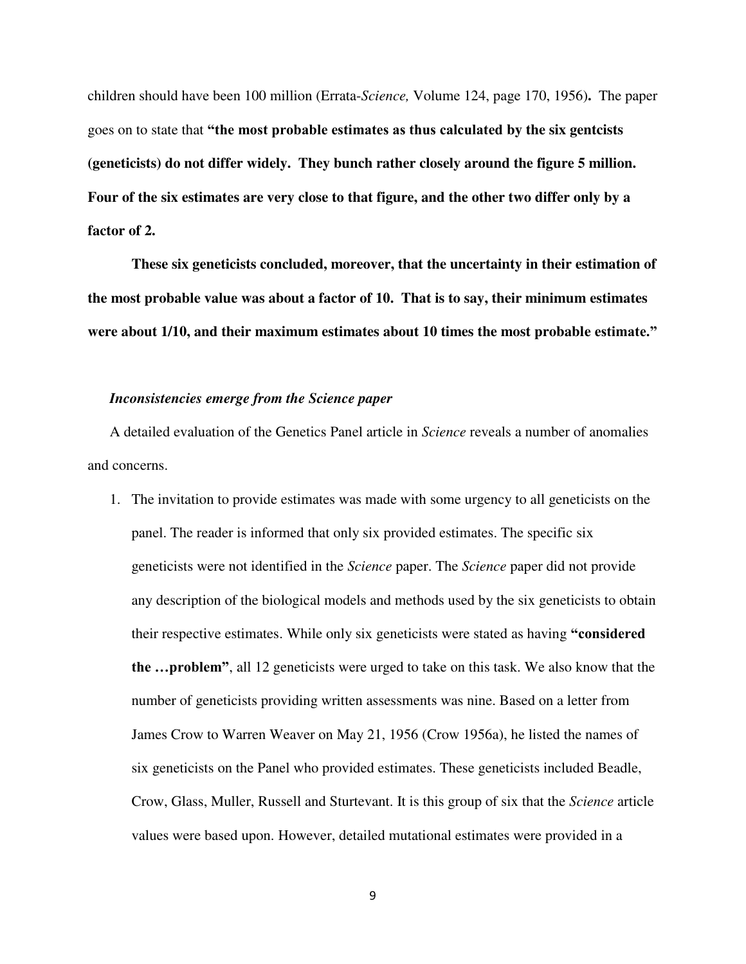children should have been 100 million (Errata-*Science,* Volume 124, page 170, 1956)**.** The paper goes on to state that **"the most probable estimates as thus calculated by the six gentcists (geneticists) do not differ widely. They bunch rather closely around the figure 5 million. Four of the six estimates are very close to that figure, and the other two differ only by a factor of 2.** 

**These six geneticists concluded, moreover, that the uncertainty in their estimation of the most probable value was about a factor of 10. That is to say, their minimum estimates were about 1/10, and their maximum estimates about 10 times the most probable estimate."**

#### *Inconsistencies emerge from the Science paper*

A detailed evaluation of the Genetics Panel article in *Science* reveals a number of anomalies and concerns.

1. The invitation to provide estimates was made with some urgency to all geneticists on the panel. The reader is informed that only six provided estimates. The specific six geneticists were not identified in the *Science* paper. The *Science* paper did not provide any description of the biological models and methods used by the six geneticists to obtain their respective estimates. While only six geneticists were stated as having **"considered the …problem"**, all 12 geneticists were urged to take on this task. We also know that the number of geneticists providing written assessments was nine. Based on a letter from James Crow to Warren Weaver on May 21, 1956 (Crow 1956a), he listed the names of six geneticists on the Panel who provided estimates. These geneticists included Beadle, Crow, Glass, Muller, Russell and Sturtevant. It is this group of six that the *Science* article values were based upon. However, detailed mutational estimates were provided in a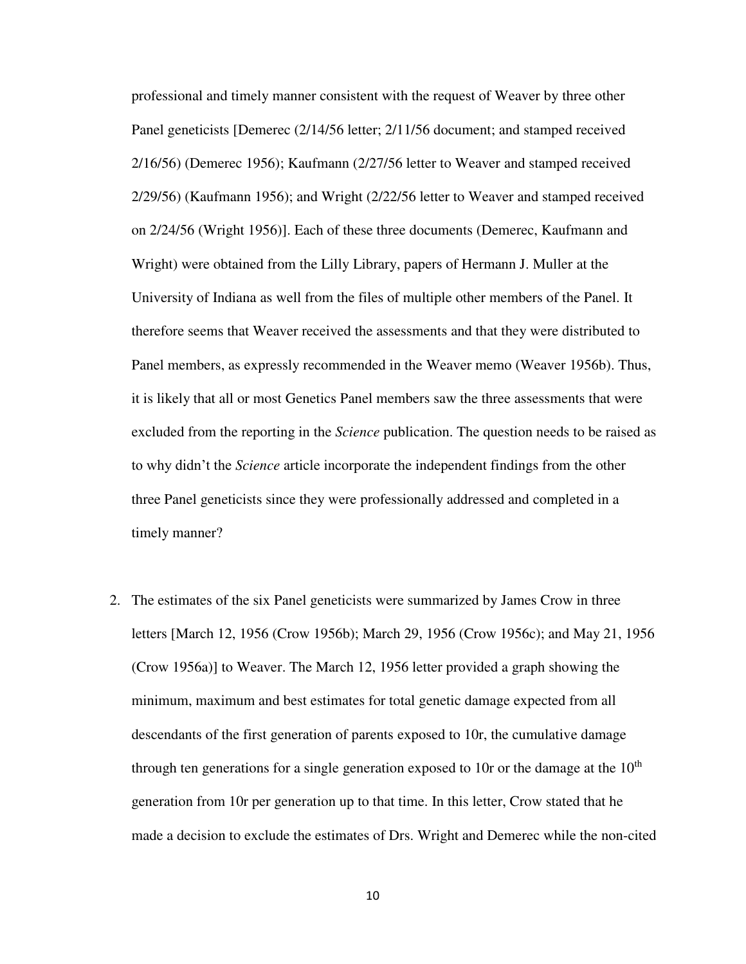professional and timely manner consistent with the request of Weaver by three other Panel geneticists [Demerec (2/14/56 letter; 2/11/56 document; and stamped received 2/16/56) (Demerec 1956); Kaufmann (2/27/56 letter to Weaver and stamped received 2/29/56) (Kaufmann 1956); and Wright (2/22/56 letter to Weaver and stamped received on 2/24/56 (Wright 1956)]. Each of these three documents (Demerec, Kaufmann and Wright) were obtained from the Lilly Library, papers of Hermann J. Muller at the University of Indiana as well from the files of multiple other members of the Panel. It therefore seems that Weaver received the assessments and that they were distributed to Panel members, as expressly recommended in the Weaver memo (Weaver 1956b). Thus, it is likely that all or most Genetics Panel members saw the three assessments that were excluded from the reporting in the *Science* publication. The question needs to be raised as to why didn't the *Science* article incorporate the independent findings from the other three Panel geneticists since they were professionally addressed and completed in a timely manner?

2. The estimates of the six Panel geneticists were summarized by James Crow in three letters [March 12, 1956 (Crow 1956b); March 29, 1956 (Crow 1956c); and May 21, 1956 (Crow 1956a)] to Weaver. The March 12, 1956 letter provided a graph showing the minimum, maximum and best estimates for total genetic damage expected from all descendants of the first generation of parents exposed to 10r, the cumulative damage through ten generations for a single generation exposed to 10r or the damage at the  $10<sup>th</sup>$ generation from 10r per generation up to that time. In this letter, Crow stated that he made a decision to exclude the estimates of Drs. Wright and Demerec while the non-cited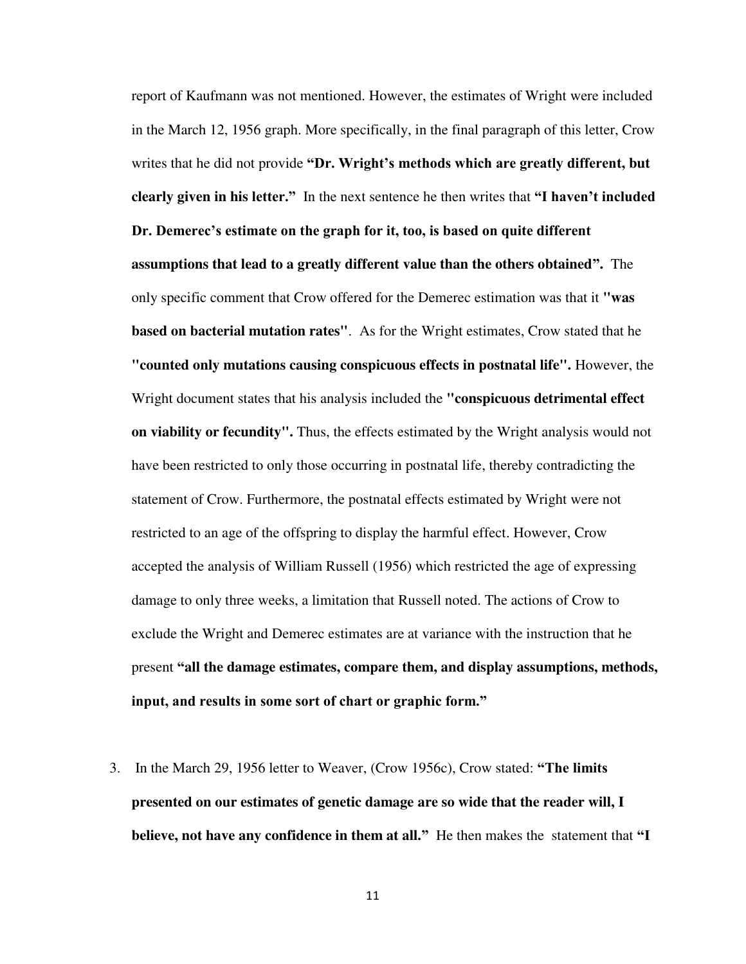report of Kaufmann was not mentioned. However, the estimates of Wright were included in the March 12, 1956 graph. More specifically, in the final paragraph of this letter, Crow writes that he did not provide **"Dr. Wright's methods which are greatly different, but clearly given in his letter."** In the next sentence he then writes that **"I haven't included Dr. Demerec's estimate on the graph for it, too, is based on quite different assumptions that lead to a greatly different value than the others obtained".** The only specific comment that Crow offered for the Demerec estimation was that it **"was based on bacterial mutation rates"**. As for the Wright estimates, Crow stated that he **"counted only mutations causing conspicuous effects in postnatal life".** However, the Wright document states that his analysis included the **"conspicuous detrimental effect on viability or fecundity".** Thus, the effects estimated by the Wright analysis would not have been restricted to only those occurring in postnatal life, thereby contradicting the statement of Crow. Furthermore, the postnatal effects estimated by Wright were not restricted to an age of the offspring to display the harmful effect. However, Crow accepted the analysis of William Russell (1956) which restricted the age of expressing damage to only three weeks, a limitation that Russell noted. The actions of Crow to exclude the Wright and Demerec estimates are at variance with the instruction that he present **"all the damage estimates, compare them, and display assumptions, methods, input, and results in some sort of chart or graphic form."** 

3. In the March 29, 1956 letter to Weaver, (Crow 1956c), Crow stated: **"The limits presented on our estimates of genetic damage are so wide that the reader will, I believe, not have any confidence in them at all."** He then makes the statement that **"I**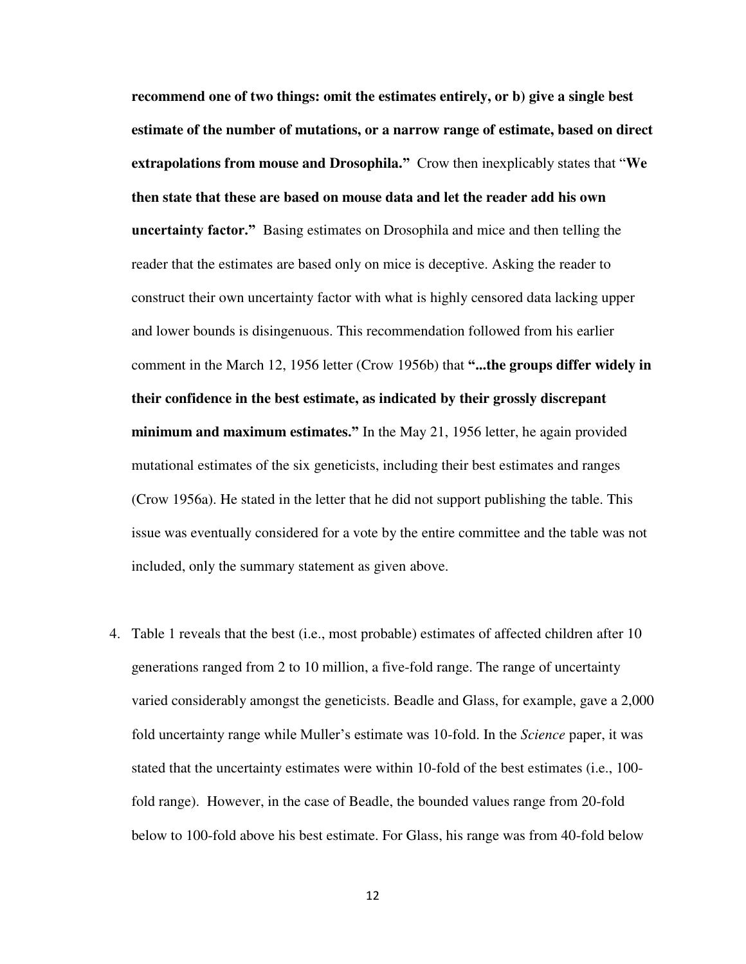**recommend one of two things: omit the estimates entirely, or b) give a single best estimate of the number of mutations, or a narrow range of estimate, based on direct extrapolations from mouse and Drosophila."** Crow then inexplicably states that "**We then state that these are based on mouse data and let the reader add his own uncertainty factor."** Basing estimates on Drosophila and mice and then telling the reader that the estimates are based only on mice is deceptive. Asking the reader to construct their own uncertainty factor with what is highly censored data lacking upper and lower bounds is disingenuous. This recommendation followed from his earlier comment in the March 12, 1956 letter (Crow 1956b) that **"...the groups differ widely in their confidence in the best estimate, as indicated by their grossly discrepant minimum and maximum estimates."** In the May 21, 1956 letter, he again provided mutational estimates of the six geneticists, including their best estimates and ranges (Crow 1956a). He stated in the letter that he did not support publishing the table. This issue was eventually considered for a vote by the entire committee and the table was not included, only the summary statement as given above.

4. Table 1 reveals that the best (i.e., most probable) estimates of affected children after 10 generations ranged from 2 to 10 million, a five-fold range. The range of uncertainty varied considerably amongst the geneticists. Beadle and Glass, for example, gave a 2,000 fold uncertainty range while Muller's estimate was 10-fold. In the *Science* paper, it was stated that the uncertainty estimates were within 10-fold of the best estimates (i.e., 100 fold range). However, in the case of Beadle, the bounded values range from 20-fold below to 100-fold above his best estimate. For Glass, his range was from 40-fold below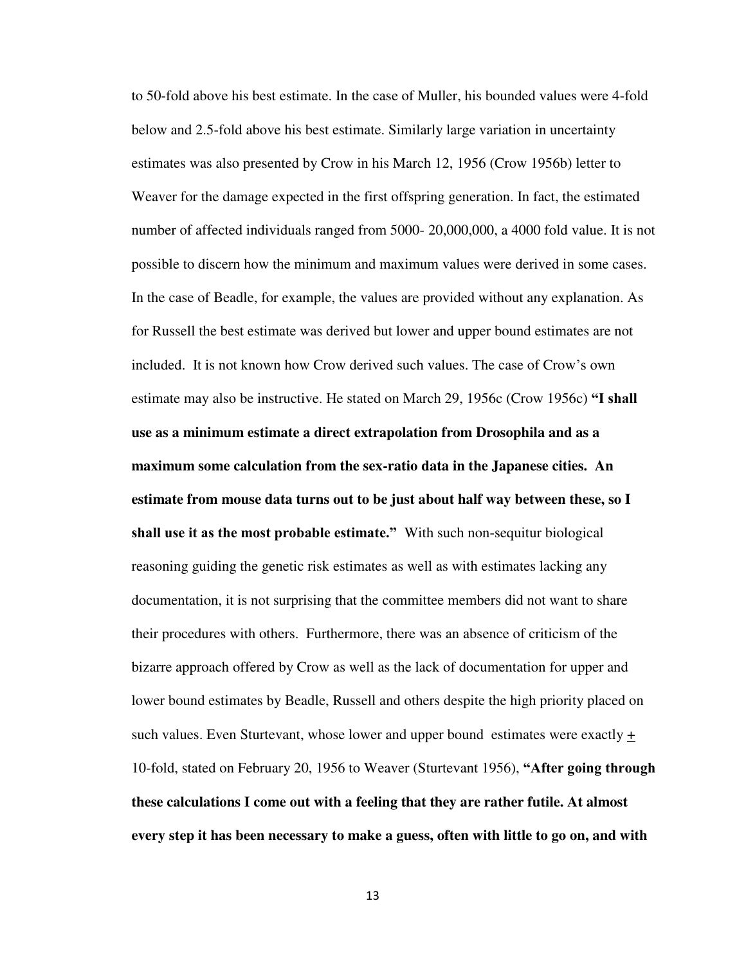to 50-fold above his best estimate. In the case of Muller, his bounded values were 4-fold below and 2.5-fold above his best estimate. Similarly large variation in uncertainty estimates was also presented by Crow in his March 12, 1956 (Crow 1956b) letter to Weaver for the damage expected in the first offspring generation. In fact, the estimated number of affected individuals ranged from 5000- 20,000,000, a 4000 fold value. It is not possible to discern how the minimum and maximum values were derived in some cases. In the case of Beadle, for example, the values are provided without any explanation. As for Russell the best estimate was derived but lower and upper bound estimates are not included. It is not known how Crow derived such values. The case of Crow's own estimate may also be instructive. He stated on March 29, 1956c (Crow 1956c) **"I shall use as a minimum estimate a direct extrapolation from Drosophila and as a maximum some calculation from the sex-ratio data in the Japanese cities. An estimate from mouse data turns out to be just about half way between these, so I shall use it as the most probable estimate."** With such non-sequitur biological reasoning guiding the genetic risk estimates as well as with estimates lacking any documentation, it is not surprising that the committee members did not want to share their procedures with others. Furthermore, there was an absence of criticism of the bizarre approach offered by Crow as well as the lack of documentation for upper and lower bound estimates by Beadle, Russell and others despite the high priority placed on such values. Even Sturtevant, whose lower and upper bound estimates were exactly  $\pm$ 10-fold, stated on February 20, 1956 to Weaver (Sturtevant 1956), **"After going through these calculations I come out with a feeling that they are rather futile. At almost every step it has been necessary to make a guess, often with little to go on, and with**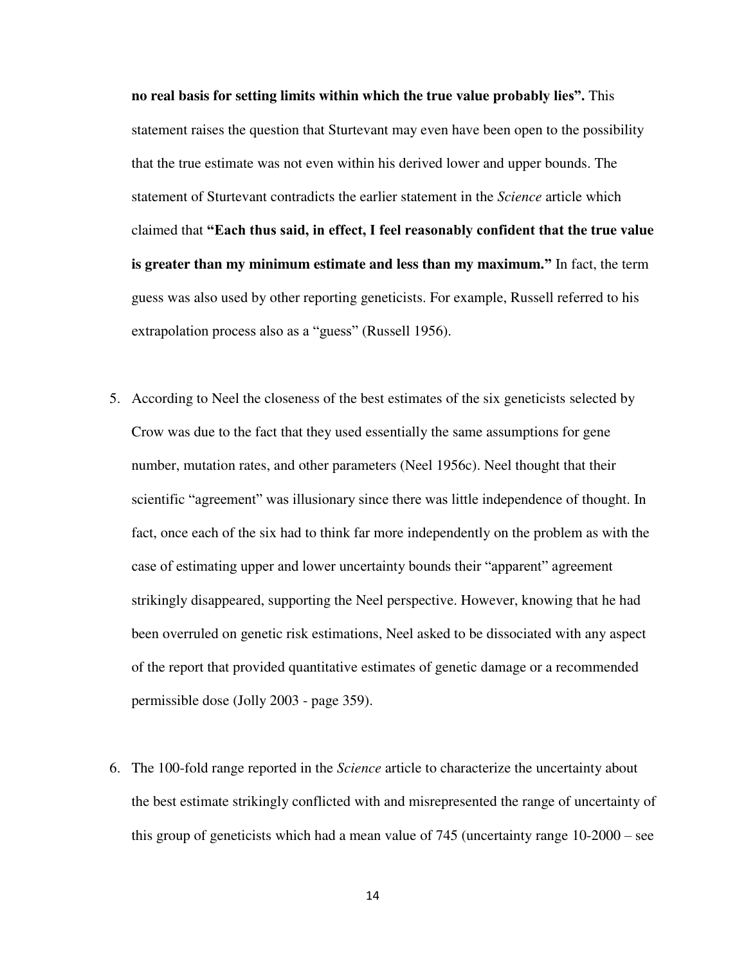**no real basis for setting limits within which the true value probably lies".** This statement raises the question that Sturtevant may even have been open to the possibility that the true estimate was not even within his derived lower and upper bounds. The statement of Sturtevant contradicts the earlier statement in the *Science* article which claimed that **"Each thus said, in effect, I feel reasonably confident that the true value is greater than my minimum estimate and less than my maximum."** In fact, the term guess was also used by other reporting geneticists. For example, Russell referred to his extrapolation process also as a "guess" (Russell 1956).

- 5. According to Neel the closeness of the best estimates of the six geneticists selected by Crow was due to the fact that they used essentially the same assumptions for gene number, mutation rates, and other parameters (Neel 1956c). Neel thought that their scientific "agreement" was illusionary since there was little independence of thought. In fact, once each of the six had to think far more independently on the problem as with the case of estimating upper and lower uncertainty bounds their "apparent" agreement strikingly disappeared, supporting the Neel perspective. However, knowing that he had been overruled on genetic risk estimations, Neel asked to be dissociated with any aspect of the report that provided quantitative estimates of genetic damage or a recommended permissible dose (Jolly 2003 - page 359).
- 6. The 100-fold range reported in the *Science* article to characterize the uncertainty about the best estimate strikingly conflicted with and misrepresented the range of uncertainty of this group of geneticists which had a mean value of 745 (uncertainty range 10-2000 – see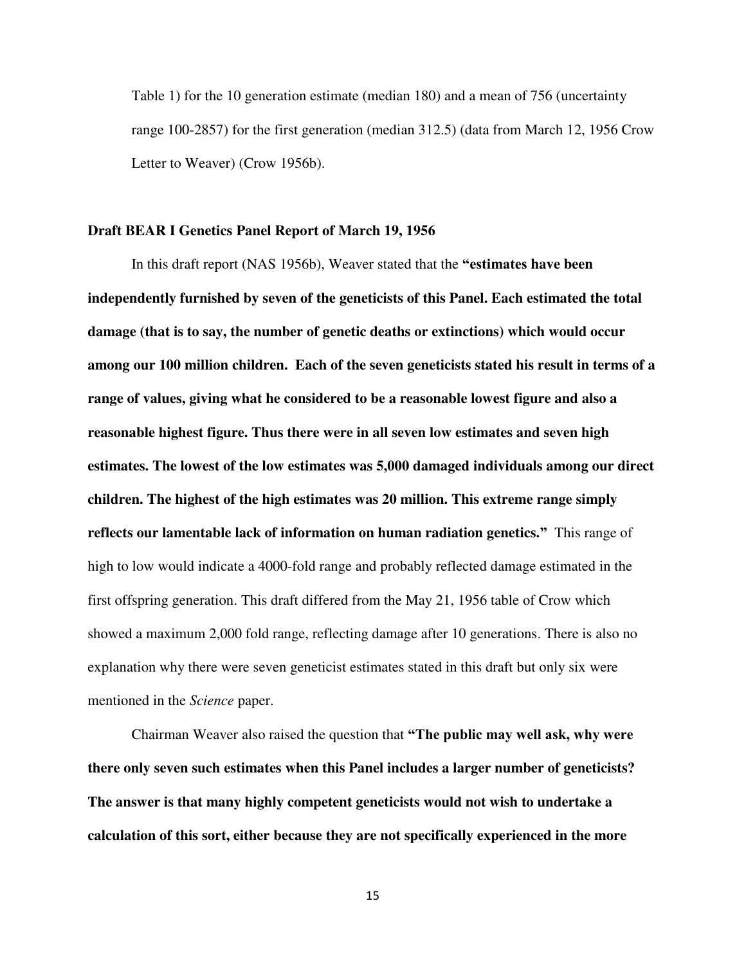Table 1) for the 10 generation estimate (median 180) and a mean of 756 (uncertainty range 100-2857) for the first generation (median 312.5) (data from March 12, 1956 Crow Letter to Weaver) (Crow 1956b).

# **Draft BEAR I Genetics Panel Report of March 19, 1956**

In this draft report (NAS 1956b), Weaver stated that the **"estimates have been independently furnished by seven of the geneticists of this Panel. Each estimated the total damage (that is to say, the number of genetic deaths or extinctions) which would occur among our 100 million children. Each of the seven geneticists stated his result in terms of a range of values, giving what he considered to be a reasonable lowest figure and also a reasonable highest figure. Thus there were in all seven low estimates and seven high estimates. The lowest of the low estimates was 5,000 damaged individuals among our direct children. The highest of the high estimates was 20 million. This extreme range simply reflects our lamentable lack of information on human radiation genetics."** This range of high to low would indicate a 4000-fold range and probably reflected damage estimated in the first offspring generation. This draft differed from the May 21, 1956 table of Crow which showed a maximum 2,000 fold range, reflecting damage after 10 generations. There is also no explanation why there were seven geneticist estimates stated in this draft but only six were mentioned in the *Science* paper.

Chairman Weaver also raised the question that **"The public may well ask, why were there only seven such estimates when this Panel includes a larger number of geneticists? The answer is that many highly competent geneticists would not wish to undertake a calculation of this sort, either because they are not specifically experienced in the more**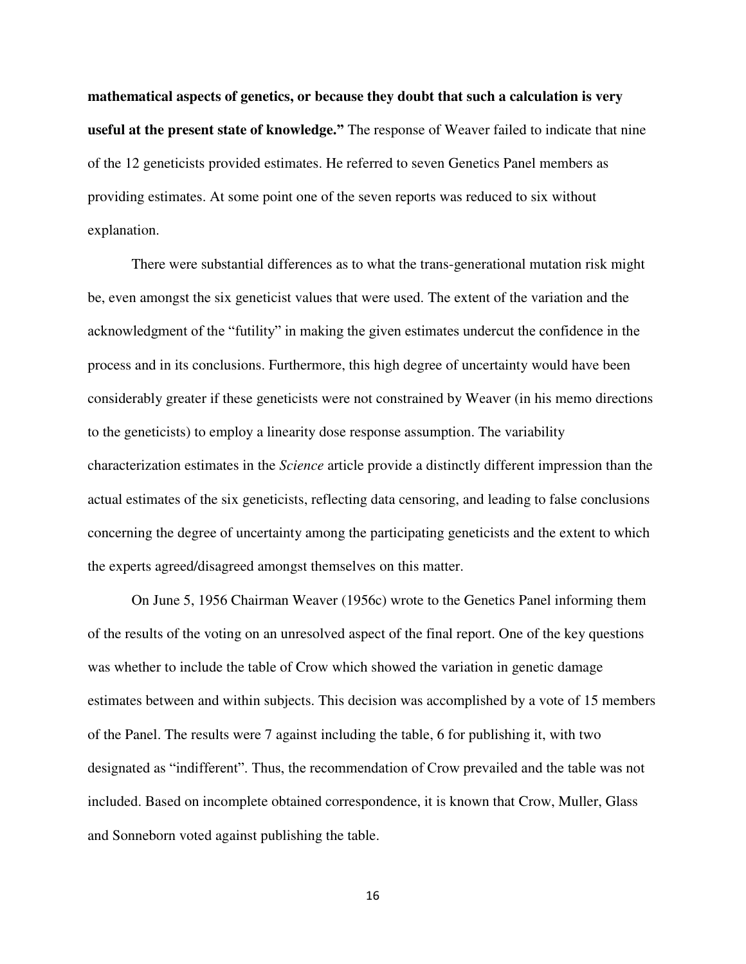**mathematical aspects of genetics, or because they doubt that such a calculation is very useful at the present state of knowledge."** The response of Weaver failed to indicate that nine of the 12 geneticists provided estimates. He referred to seven Genetics Panel members as providing estimates. At some point one of the seven reports was reduced to six without explanation.

 There were substantial differences as to what the trans-generational mutation risk might be, even amongst the six geneticist values that were used. The extent of the variation and the acknowledgment of the "futility" in making the given estimates undercut the confidence in the process and in its conclusions. Furthermore, this high degree of uncertainty would have been considerably greater if these geneticists were not constrained by Weaver (in his memo directions to the geneticists) to employ a linearity dose response assumption. The variability characterization estimates in the *Science* article provide a distinctly different impression than the actual estimates of the six geneticists, reflecting data censoring, and leading to false conclusions concerning the degree of uncertainty among the participating geneticists and the extent to which the experts agreed/disagreed amongst themselves on this matter.

 On June 5, 1956 Chairman Weaver (1956c) wrote to the Genetics Panel informing them of the results of the voting on an unresolved aspect of the final report. One of the key questions was whether to include the table of Crow which showed the variation in genetic damage estimates between and within subjects. This decision was accomplished by a vote of 15 members of the Panel. The results were 7 against including the table, 6 for publishing it, with two designated as "indifferent". Thus, the recommendation of Crow prevailed and the table was not included. Based on incomplete obtained correspondence, it is known that Crow, Muller, Glass and Sonneborn voted against publishing the table.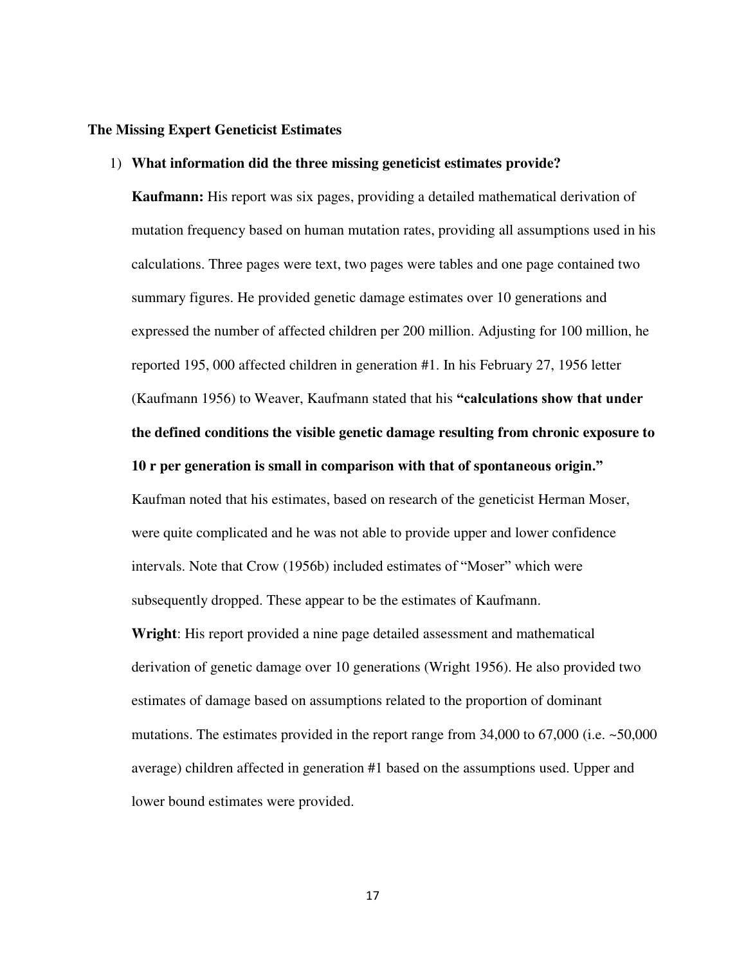# **The Missing Expert Geneticist Estimates**

# 1) **What information did the three missing geneticist estimates provide?**

**Kaufmann:** His report was six pages, providing a detailed mathematical derivation of mutation frequency based on human mutation rates, providing all assumptions used in his calculations. Three pages were text, two pages were tables and one page contained two summary figures. He provided genetic damage estimates over 10 generations and expressed the number of affected children per 200 million. Adjusting for 100 million, he reported 195, 000 affected children in generation #1. In his February 27, 1956 letter (Kaufmann 1956) to Weaver, Kaufmann stated that his **"calculations show that under the defined conditions the visible genetic damage resulting from chronic exposure to 10 r per generation is small in comparison with that of spontaneous origin."**

Kaufman noted that his estimates, based on research of the geneticist Herman Moser, were quite complicated and he was not able to provide upper and lower confidence intervals. Note that Crow (1956b) included estimates of "Moser" which were subsequently dropped. These appear to be the estimates of Kaufmann.

**Wright**: His report provided a nine page detailed assessment and mathematical derivation of genetic damage over 10 generations (Wright 1956). He also provided two estimates of damage based on assumptions related to the proportion of dominant mutations. The estimates provided in the report range from  $34,000$  to  $67,000$  (i.e.  $\sim 50,000$ ) average) children affected in generation #1 based on the assumptions used. Upper and lower bound estimates were provided.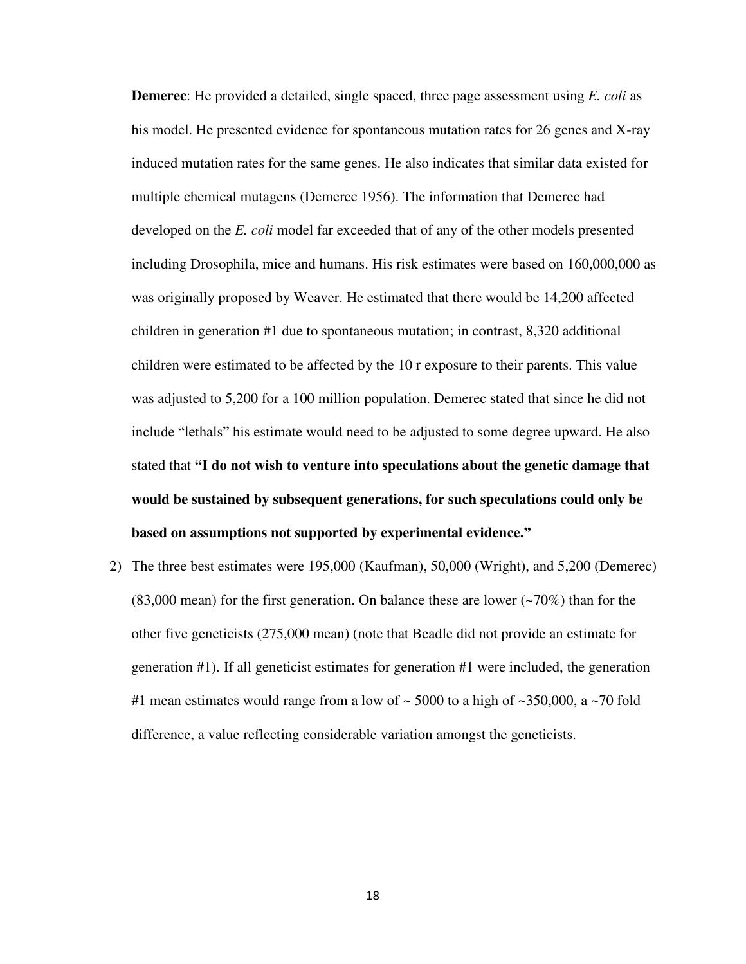**Demerec**: He provided a detailed, single spaced, three page assessment using *E. coli* as his model. He presented evidence for spontaneous mutation rates for 26 genes and X-ray induced mutation rates for the same genes. He also indicates that similar data existed for multiple chemical mutagens (Demerec 1956). The information that Demerec had developed on the *E. coli* model far exceeded that of any of the other models presented including Drosophila, mice and humans. His risk estimates were based on 160,000,000 as was originally proposed by Weaver. He estimated that there would be 14,200 affected children in generation #1 due to spontaneous mutation; in contrast, 8,320 additional children were estimated to be affected by the 10 r exposure to their parents. This value was adjusted to 5,200 for a 100 million population. Demerec stated that since he did not include "lethals" his estimate would need to be adjusted to some degree upward. He also stated that **"I do not wish to venture into speculations about the genetic damage that would be sustained by subsequent generations, for such speculations could only be based on assumptions not supported by experimental evidence."**

2) The three best estimates were 195,000 (Kaufman), 50,000 (Wright), and 5,200 (Demerec) (83,000 mean) for the first generation. On balance these are lower (~70%) than for the other five geneticists (275,000 mean) (note that Beadle did not provide an estimate for generation #1). If all geneticist estimates for generation #1 were included, the generation #1 mean estimates would range from a low of  $\sim$  5000 to a high of  $\sim$ 350,000, a  $\sim$ 70 fold difference, a value reflecting considerable variation amongst the geneticists.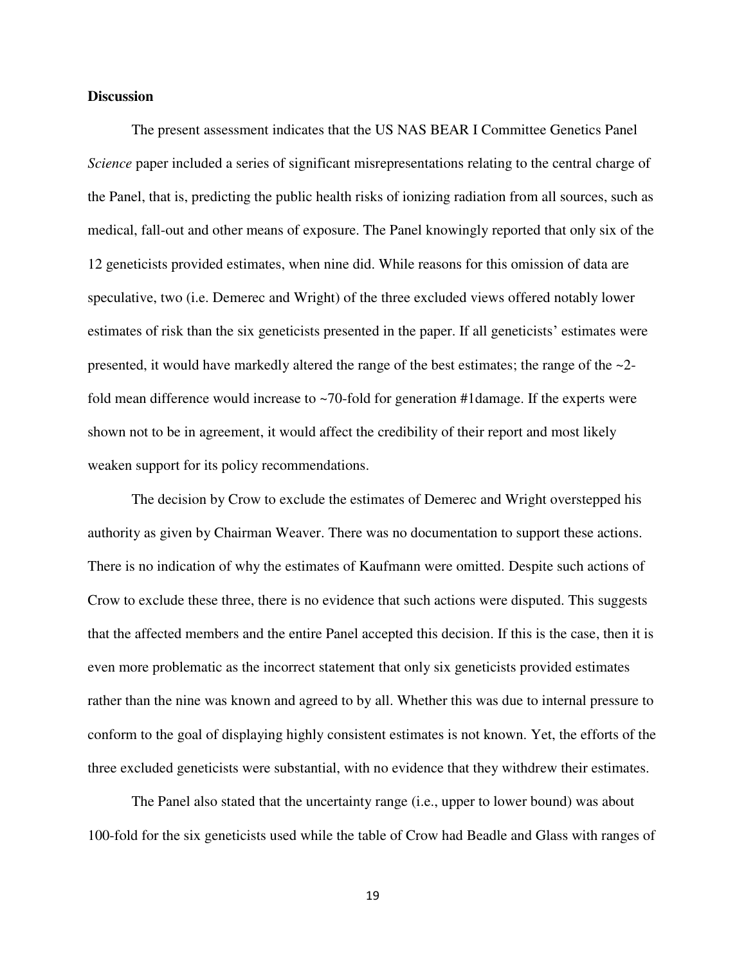# **Discussion**

The present assessment indicates that the US NAS BEAR I Committee Genetics Panel *Science* paper included a series of significant misrepresentations relating to the central charge of the Panel, that is, predicting the public health risks of ionizing radiation from all sources, such as medical, fall-out and other means of exposure. The Panel knowingly reported that only six of the 12 geneticists provided estimates, when nine did. While reasons for this omission of data are speculative, two (i.e. Demerec and Wright) of the three excluded views offered notably lower estimates of risk than the six geneticists presented in the paper. If all geneticists' estimates were presented, it would have markedly altered the range of the best estimates; the range of the  $\sim$ 2fold mean difference would increase to ~70-fold for generation #1damage. If the experts were shown not to be in agreement, it would affect the credibility of their report and most likely weaken support for its policy recommendations.

 The decision by Crow to exclude the estimates of Demerec and Wright overstepped his authority as given by Chairman Weaver. There was no documentation to support these actions. There is no indication of why the estimates of Kaufmann were omitted. Despite such actions of Crow to exclude these three, there is no evidence that such actions were disputed. This suggests that the affected members and the entire Panel accepted this decision. If this is the case, then it is even more problematic as the incorrect statement that only six geneticists provided estimates rather than the nine was known and agreed to by all. Whether this was due to internal pressure to conform to the goal of displaying highly consistent estimates is not known. Yet, the efforts of the three excluded geneticists were substantial, with no evidence that they withdrew their estimates.

 The Panel also stated that the uncertainty range (i.e., upper to lower bound) was about 100-fold for the six geneticists used while the table of Crow had Beadle and Glass with ranges of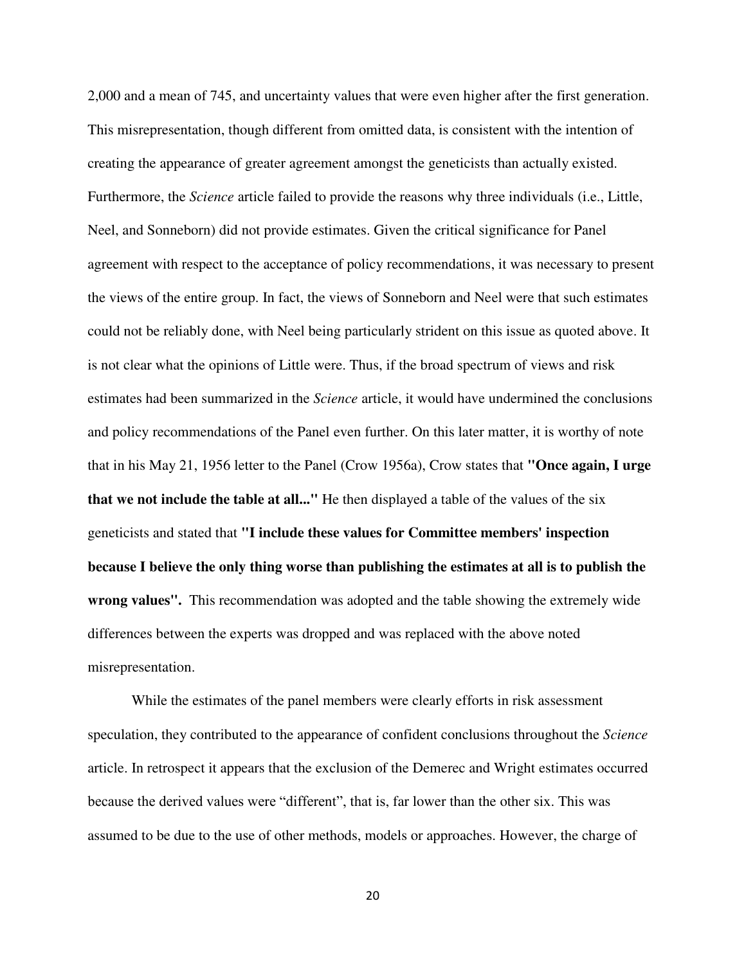2,000 and a mean of 745, and uncertainty values that were even higher after the first generation. This misrepresentation, though different from omitted data, is consistent with the intention of creating the appearance of greater agreement amongst the geneticists than actually existed. Furthermore, the *Science* article failed to provide the reasons why three individuals (i.e., Little, Neel, and Sonneborn) did not provide estimates. Given the critical significance for Panel agreement with respect to the acceptance of policy recommendations, it was necessary to present the views of the entire group. In fact, the views of Sonneborn and Neel were that such estimates could not be reliably done, with Neel being particularly strident on this issue as quoted above. It is not clear what the opinions of Little were. Thus, if the broad spectrum of views and risk estimates had been summarized in the *Science* article, it would have undermined the conclusions and policy recommendations of the Panel even further. On this later matter, it is worthy of note that in his May 21, 1956 letter to the Panel (Crow 1956a), Crow states that **"Once again, I urge that we not include the table at all..."** He then displayed a table of the values of the six geneticists and stated that **"I include these values for Committee members' inspection because I believe the only thing worse than publishing the estimates at all is to publish the wrong values".** This recommendation was adopted and the table showing the extremely wide differences between the experts was dropped and was replaced with the above noted misrepresentation.

 While the estimates of the panel members were clearly efforts in risk assessment speculation, they contributed to the appearance of confident conclusions throughout the *Science*  article. In retrospect it appears that the exclusion of the Demerec and Wright estimates occurred because the derived values were "different", that is, far lower than the other six. This was assumed to be due to the use of other methods, models or approaches. However, the charge of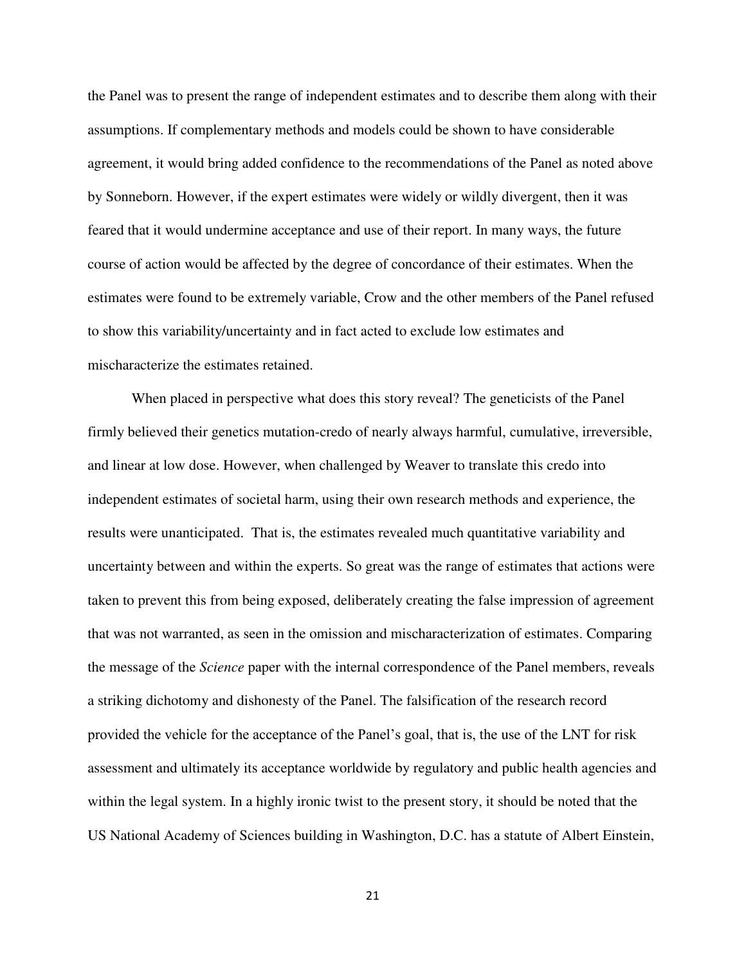the Panel was to present the range of independent estimates and to describe them along with their assumptions. If complementary methods and models could be shown to have considerable agreement, it would bring added confidence to the recommendations of the Panel as noted above by Sonneborn. However, if the expert estimates were widely or wildly divergent, then it was feared that it would undermine acceptance and use of their report. In many ways, the future course of action would be affected by the degree of concordance of their estimates. When the estimates were found to be extremely variable, Crow and the other members of the Panel refused to show this variability/uncertainty and in fact acted to exclude low estimates and mischaracterize the estimates retained.

When placed in perspective what does this story reveal? The geneticists of the Panel firmly believed their genetics mutation-credo of nearly always harmful, cumulative, irreversible, and linear at low dose. However, when challenged by Weaver to translate this credo into independent estimates of societal harm, using their own research methods and experience, the results were unanticipated. That is, the estimates revealed much quantitative variability and uncertainty between and within the experts. So great was the range of estimates that actions were taken to prevent this from being exposed, deliberately creating the false impression of agreement that was not warranted, as seen in the omission and mischaracterization of estimates. Comparing the message of the *Science* paper with the internal correspondence of the Panel members, reveals a striking dichotomy and dishonesty of the Panel. The falsification of the research record provided the vehicle for the acceptance of the Panel's goal, that is, the use of the LNT for risk assessment and ultimately its acceptance worldwide by regulatory and public health agencies and within the legal system. In a highly ironic twist to the present story, it should be noted that the US National Academy of Sciences building in Washington, D.C. has a statute of Albert Einstein,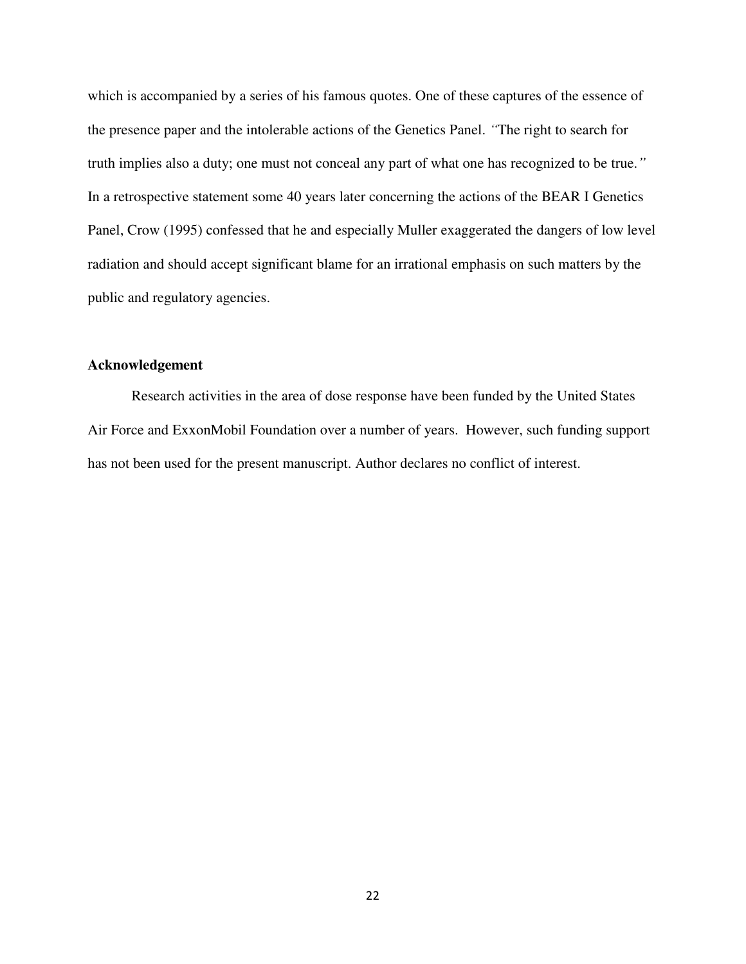which is accompanied by a series of his famous quotes. One of these captures of the essence of the presence paper and the intolerable actions of the Genetics Panel. *"*The right to search for truth implies also a duty; one must not conceal any part of what one has recognized to be true.*"* In a retrospective statement some 40 years later concerning the actions of the BEAR I Genetics Panel, Crow (1995) confessed that he and especially Muller exaggerated the dangers of low level radiation and should accept significant blame for an irrational emphasis on such matters by the public and regulatory agencies.

# **Acknowledgement**

Research activities in the area of dose response have been funded by the United States Air Force and ExxonMobil Foundation over a number of years. However, such funding support has not been used for the present manuscript. Author declares no conflict of interest.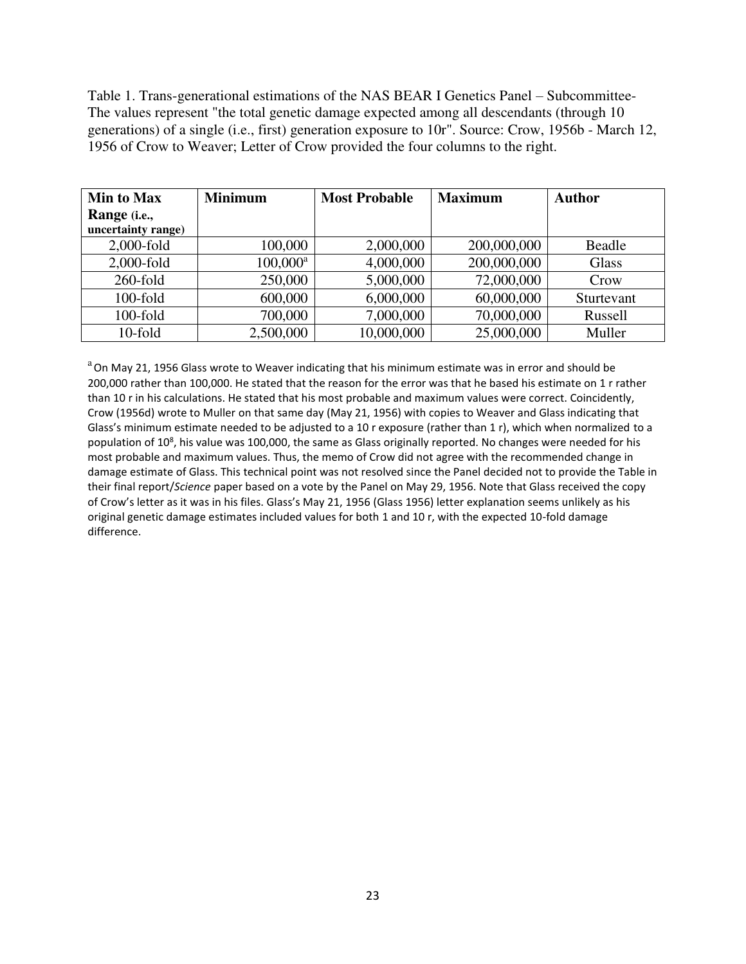Table 1. Trans-generational estimations of the NAS BEAR I Genetics Panel – Subcommittee-The values represent "the total genetic damage expected among all descendants (through 10 generations) of a single (i.e., first) generation exposure to 10r". Source: Crow, 1956b - March 12, 1956 of Crow to Weaver; Letter of Crow provided the four columns to the right.

| <b>Min to Max</b>     | <b>Minimum</b> | <b>Most Probable</b> | <b>Maximum</b> | <b>Author</b> |
|-----------------------|----------------|----------------------|----------------|---------------|
| Range ( <i>i.e.</i> , |                |                      |                |               |
| uncertainty range)    |                |                      |                |               |
| $2,000$ -fold         | 100,000        | 2,000,000            | 200,000,000    | Beadle        |
| $2,000$ -fold         | $100,000^a$    | 4,000,000            | 200,000,000    | Glass         |
| $260$ -fold           | 250,000        | 5,000,000            | 72,000,000     | Crow          |
| $100$ -fold           | 600,000        | 6,000,000            | 60,000,000     | Sturtevant    |
| $100$ -fold           | 700,000        | 7,000,000            | 70,000,000     | Russell       |
| 10-fold               | 2,500,000      | 10,000,000           | 25,000,000     | Muller        |

 $a$ On May 21, 1956 Glass wrote to Weaver indicating that his minimum estimate was in error and should be 200,000 rather than 100,000. He stated that the reason for the error was that he based his estimate on 1 r rather than 10 r in his calculations. He stated that his most probable and maximum values were correct. Coincidently, Crow (1956d) wrote to Muller on that same day (May 21, 1956) with copies to Weaver and Glass indicating that Glass's minimum estimate needed to be adjusted to a 10 r exposure (rather than 1 r), which when normalized to a population of 10<sup>8</sup>, his value was 100,000, the same as Glass originally reported. No changes were needed for his most probable and maximum values. Thus, the memo of Crow did not agree with the recommended change in damage estimate of Glass. This technical point was not resolved since the Panel decided not to provide the Table in their final report/*Science* paper based on a vote by the Panel on May 29, 1956. Note that Glass received the copy of Crow's letter as it was in his files. Glass's May 21, 1956 (Glass 1956) letter explanation seems unlikely as his original genetic damage estimates included values for both 1 and 10 r, with the expected 10-fold damage difference.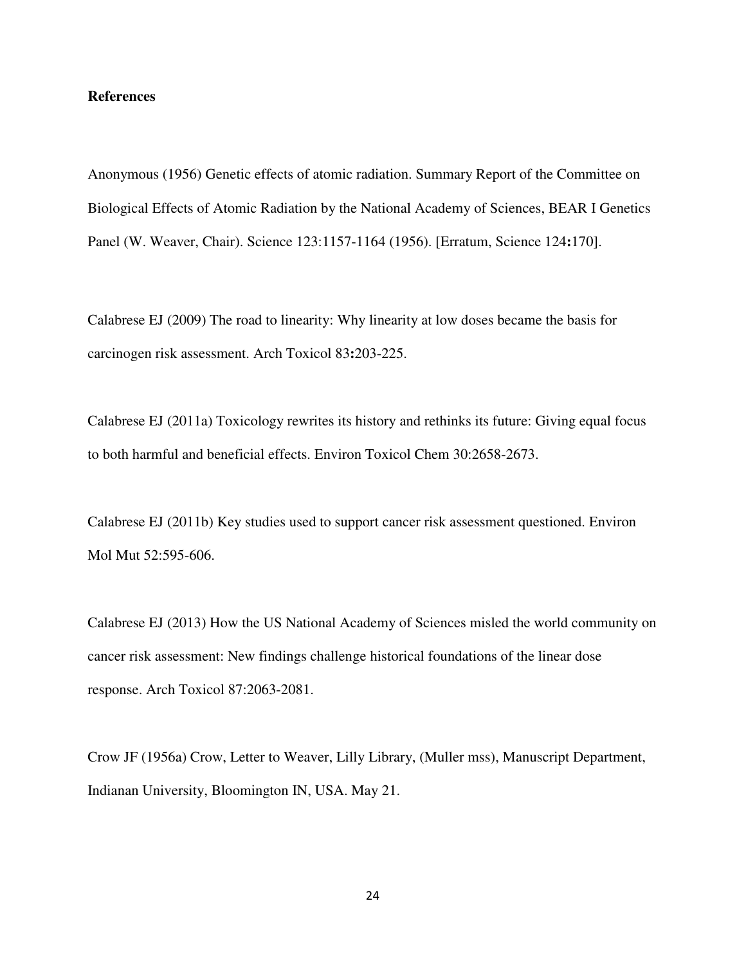# **References**

Anonymous (1956) Genetic effects of atomic radiation. Summary Report of the Committee on Biological Effects of Atomic Radiation by the National Academy of Sciences, BEAR I Genetics Panel (W. Weaver, Chair). Science 123:1157-1164 (1956). [Erratum, Science 124**:**170].

Calabrese EJ (2009) The road to linearity: Why linearity at low doses became the basis for carcinogen risk assessment. Arch Toxicol 83**:**203-225.

Calabrese EJ (2011a) Toxicology rewrites its history and rethinks its future: Giving equal focus to both harmful and beneficial effects. Environ Toxicol Chem 30:2658-2673.

Calabrese EJ (2011b) Key studies used to support cancer risk assessment questioned. Environ Mol Mut 52:595-606.

Calabrese EJ (2013) How the US National Academy of Sciences misled the world community on cancer risk assessment: New findings challenge historical foundations of the linear dose response. Arch Toxicol 87:2063-2081.

Crow JF (1956a) Crow, Letter to Weaver, Lilly Library, (Muller mss), Manuscript Department, Indianan University, Bloomington IN, USA. May 21.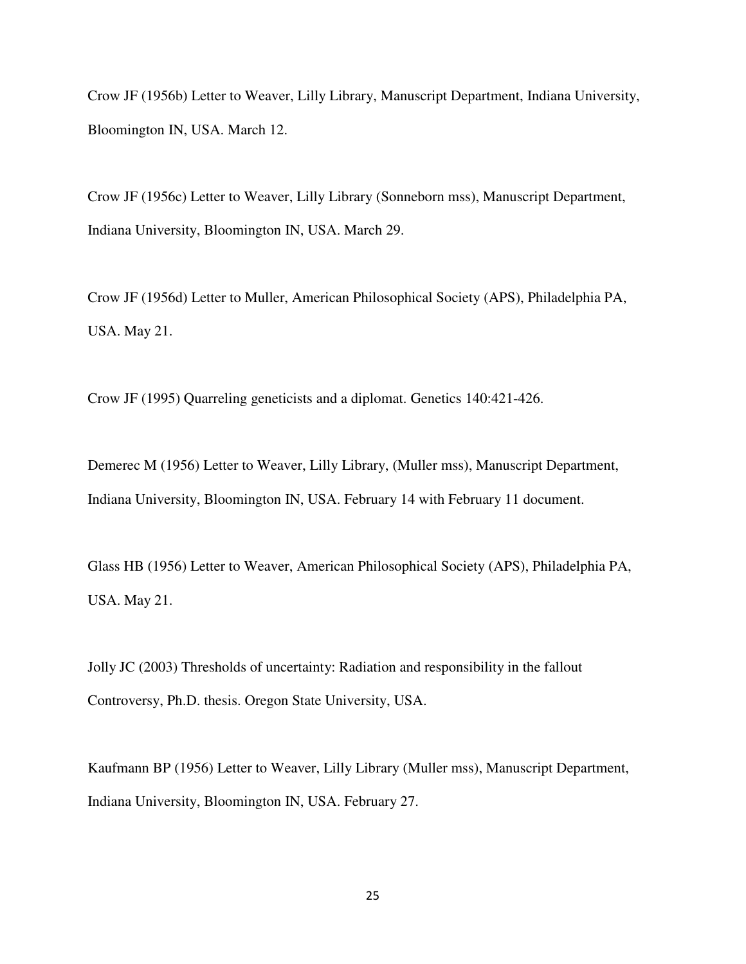Crow JF (1956b) Letter to Weaver, Lilly Library, Manuscript Department, Indiana University, Bloomington IN, USA. March 12.

Crow JF (1956c) Letter to Weaver, Lilly Library (Sonneborn mss), Manuscript Department, Indiana University, Bloomington IN, USA. March 29.

Crow JF (1956d) Letter to Muller, American Philosophical Society (APS), Philadelphia PA, USA. May 21.

Crow JF (1995) Quarreling geneticists and a diplomat. Genetics 140:421-426.

Demerec M (1956) Letter to Weaver, Lilly Library, (Muller mss), Manuscript Department, Indiana University, Bloomington IN, USA. February 14 with February 11 document.

Glass HB (1956) Letter to Weaver, American Philosophical Society (APS), Philadelphia PA, USA. May 21.

Jolly JC (2003) Thresholds of uncertainty: Radiation and responsibility in the fallout Controversy, Ph.D. thesis. Oregon State University, USA.

Kaufmann BP (1956) Letter to Weaver, Lilly Library (Muller mss), Manuscript Department, Indiana University, Bloomington IN, USA. February 27.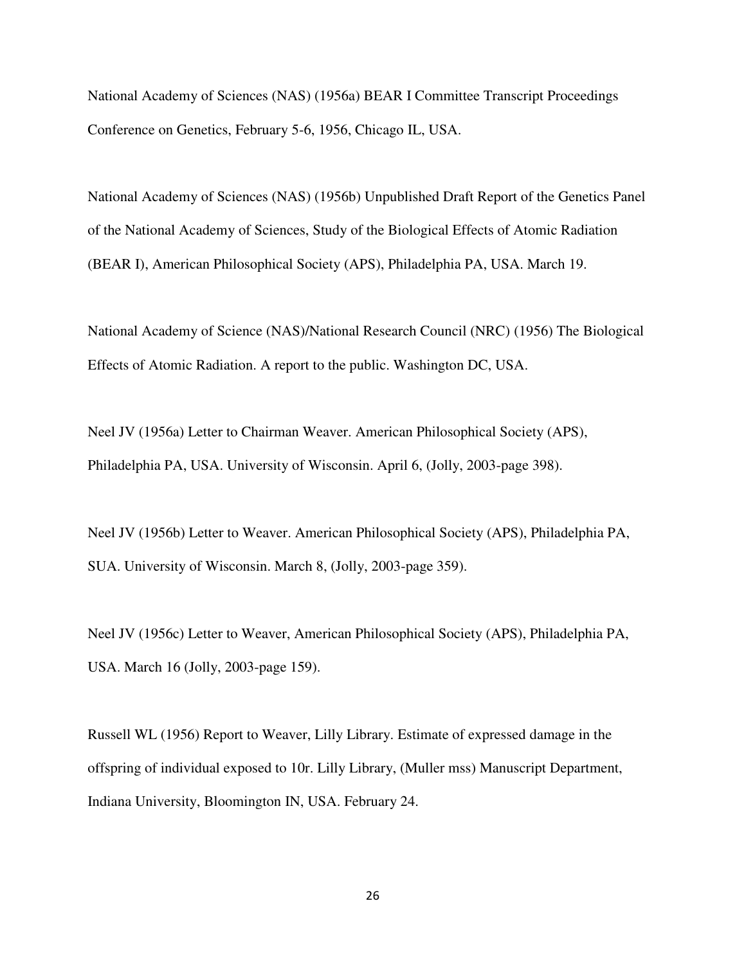National Academy of Sciences (NAS) (1956a) BEAR I Committee Transcript Proceedings Conference on Genetics, February 5-6, 1956, Chicago IL, USA.

National Academy of Sciences (NAS) (1956b) Unpublished Draft Report of the Genetics Panel of the National Academy of Sciences, Study of the Biological Effects of Atomic Radiation (BEAR I), American Philosophical Society (APS), Philadelphia PA, USA. March 19.

National Academy of Science (NAS)/National Research Council (NRC) (1956) The Biological Effects of Atomic Radiation. A report to the public. Washington DC, USA.

Neel JV (1956a) Letter to Chairman Weaver. American Philosophical Society (APS), Philadelphia PA, USA. University of Wisconsin. April 6, (Jolly, 2003-page 398).

Neel JV (1956b) Letter to Weaver. American Philosophical Society (APS), Philadelphia PA, SUA. University of Wisconsin. March 8, (Jolly, 2003-page 359).

Neel JV (1956c) Letter to Weaver, American Philosophical Society (APS), Philadelphia PA, USA. March 16 (Jolly, 2003-page 159).

Russell WL (1956) Report to Weaver, Lilly Library. Estimate of expressed damage in the offspring of individual exposed to 10r. Lilly Library, (Muller mss) Manuscript Department, Indiana University, Bloomington IN, USA. February 24.